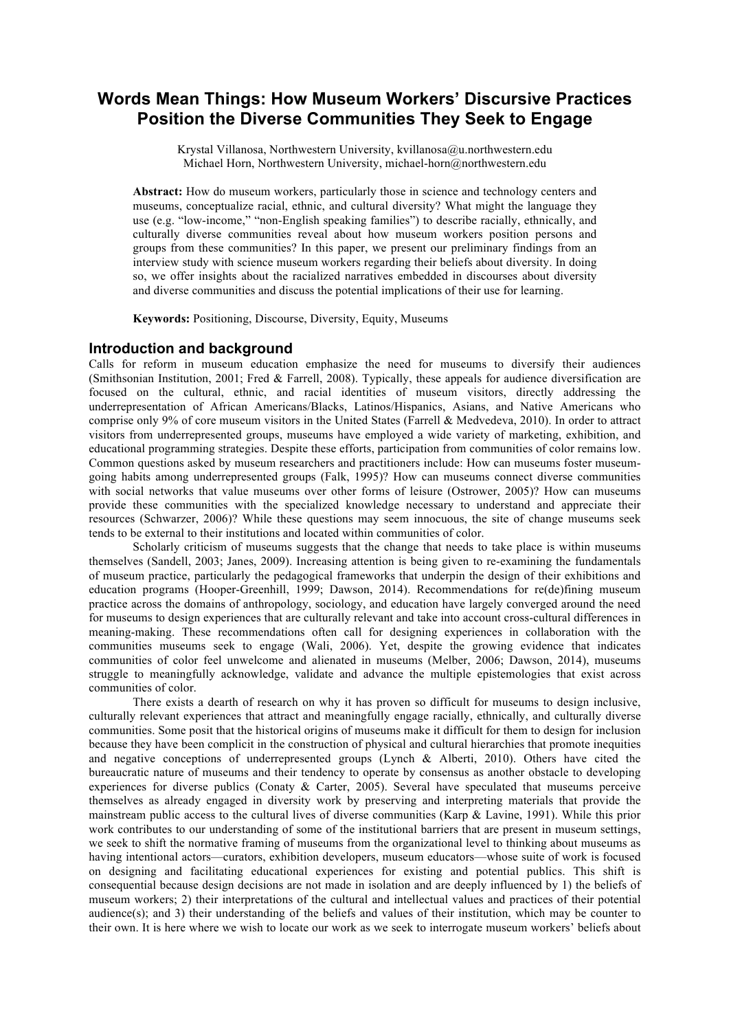# **Words Mean Things: How Museum Workers' Discursive Practices Position the Diverse Communities They Seek to Engage**

Krystal Villanosa, Northwestern University, kvillanosa@u.northwestern.edu Michael Horn, Northwestern University, michael-horn@northwestern.edu

**Abstract:** How do museum workers, particularly those in science and technology centers and museums, conceptualize racial, ethnic, and cultural diversity? What might the language they use (e.g. "low-income," "non-English speaking families") to describe racially, ethnically, and culturally diverse communities reveal about how museum workers position persons and groups from these communities? In this paper, we present our preliminary findings from an interview study with science museum workers regarding their beliefs about diversity. In doing so, we offer insights about the racialized narratives embedded in discourses about diversity and diverse communities and discuss the potential implications of their use for learning.

**Keywords:** Positioning, Discourse, Diversity, Equity, Museums

## **Introduction and background**

Calls for reform in museum education emphasize the need for museums to diversify their audiences (Smithsonian Institution, 2001; Fred & Farrell, 2008). Typically, these appeals for audience diversification are focused on the cultural, ethnic, and racial identities of museum visitors, directly addressing the underrepresentation of African Americans/Blacks, Latinos/Hispanics, Asians, and Native Americans who comprise only 9% of core museum visitors in the United States (Farrell & Medvedeva, 2010). In order to attract visitors from underrepresented groups, museums have employed a wide variety of marketing, exhibition, and educational programming strategies. Despite these efforts, participation from communities of color remains low. Common questions asked by museum researchers and practitioners include: How can museums foster museumgoing habits among underrepresented groups (Falk, 1995)? How can museums connect diverse communities with social networks that value museums over other forms of leisure (Ostrower, 2005)? How can museums provide these communities with the specialized knowledge necessary to understand and appreciate their resources (Schwarzer, 2006)? While these questions may seem innocuous, the site of change museums seek tends to be external to their institutions and located within communities of color.

Scholarly criticism of museums suggests that the change that needs to take place is within museums themselves (Sandell, 2003; Janes, 2009). Increasing attention is being given to re-examining the fundamentals of museum practice, particularly the pedagogical frameworks that underpin the design of their exhibitions and education programs (Hooper-Greenhill, 1999; Dawson, 2014). Recommendations for re(de)fining museum practice across the domains of anthropology, sociology, and education have largely converged around the need for museums to design experiences that are culturally relevant and take into account cross-cultural differences in meaning-making. These recommendations often call for designing experiences in collaboration with the communities museums seek to engage (Wali, 2006). Yet, despite the growing evidence that indicates communities of color feel unwelcome and alienated in museums (Melber, 2006; Dawson, 2014), museums struggle to meaningfully acknowledge, validate and advance the multiple epistemologies that exist across communities of color.

There exists a dearth of research on why it has proven so difficult for museums to design inclusive, culturally relevant experiences that attract and meaningfully engage racially, ethnically, and culturally diverse communities. Some posit that the historical origins of museums make it difficult for them to design for inclusion because they have been complicit in the construction of physical and cultural hierarchies that promote inequities and negative conceptions of underrepresented groups (Lynch & Alberti, 2010). Others have cited the bureaucratic nature of museums and their tendency to operate by consensus as another obstacle to developing experiences for diverse publics (Conaty & Carter, 2005). Several have speculated that museums perceive themselves as already engaged in diversity work by preserving and interpreting materials that provide the mainstream public access to the cultural lives of diverse communities (Karp & Lavine, 1991). While this prior work contributes to our understanding of some of the institutional barriers that are present in museum settings, we seek to shift the normative framing of museums from the organizational level to thinking about museums as having intentional actors—curators, exhibition developers, museum educators—whose suite of work is focused on designing and facilitating educational experiences for existing and potential publics. This shift is consequential because design decisions are not made in isolation and are deeply influenced by 1) the beliefs of museum workers; 2) their interpretations of the cultural and intellectual values and practices of their potential audience(s); and 3) their understanding of the beliefs and values of their institution, which may be counter to their own. It is here where we wish to locate our work as we seek to interrogate museum workers' beliefs about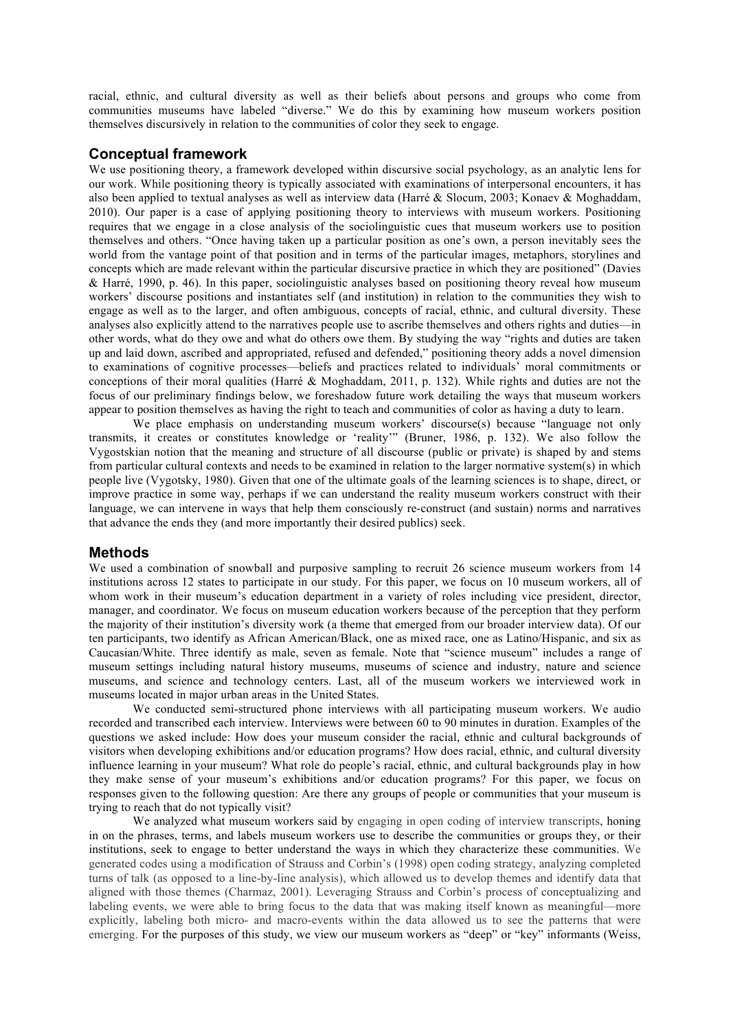racial, ethnic, and cultural diversity as well as their beliefs about persons and groups who come from communities museums have labeled "diverse." We do this by examining how museum workers position themselves discursively in relation to the communities of color they seek to engage.

## **Conceptual framework**

We use positioning theory, a framework developed within discursive social psychology, as an analytic lens for our work. While positioning theory is typically associated with examinations of interpersonal encounters, it has also been applied to textual analyses as well as interview data (Harré & Slocum, 2003; Konaev & Moghaddam, 2010). Our paper is a case of applying positioning theory to interviews with museum workers. Positioning requires that we engage in a close analysis of the sociolinguistic cues that museum workers use to position themselves and others. "Once having taken up a particular position as one's own, a person inevitably sees the world from the vantage point of that position and in terms of the particular images, metaphors, storylines and concepts which are made relevant within the particular discursive practice in which they are positioned" (Davies & Harré, 1990, p. 46). In this paper, sociolinguistic analyses based on positioning theory reveal how museum workers' discourse positions and instantiates self (and institution) in relation to the communities they wish to engage as well as to the larger, and often ambiguous, concepts of racial, ethnic, and cultural diversity. These analyses also explicitly attend to the narratives people use to ascribe themselves and others rights and duties—in other words, what do they owe and what do others owe them. By studying the way "rights and duties are taken up and laid down, ascribed and appropriated, refused and defended," positioning theory adds a novel dimension to examinations of cognitive processes—beliefs and practices related to individuals' moral commitments or conceptions of their moral qualities (Harré & Moghaddam, 2011, p. 132). While rights and duties are not the focus of our preliminary findings below, we foreshadow future work detailing the ways that museum workers appear to position themselves as having the right to teach and communities of color as having a duty to learn.

We place emphasis on understanding museum workers' discourse(s) because "language not only transmits, it creates or constitutes knowledge or 'reality'" (Bruner, 1986, p. 132). We also follow the Vygostskian notion that the meaning and structure of all discourse (public or private) is shaped by and stems from particular cultural contexts and needs to be examined in relation to the larger normative system(s) in which people live (Vygotsky, 1980). Given that one of the ultimate goals of the learning sciences is to shape, direct, or improve practice in some way, perhaps if we can understand the reality museum workers construct with their language, we can intervene in ways that help them consciously re-construct (and sustain) norms and narratives that advance the ends they (and more importantly their desired publics) seek.

## **Methods**

We used a combination of snowball and purposive sampling to recruit 26 science museum workers from 14 institutions across 12 states to participate in our study. For this paper, we focus on 10 museum workers, all of whom work in their museum's education department in a variety of roles including vice president, director, manager, and coordinator. We focus on museum education workers because of the perception that they perform the majority of their institution's diversity work (a theme that emerged from our broader interview data). Of our ten participants, two identify as African American/Black, one as mixed race, one as Latino/Hispanic, and six as Caucasian/White. Three identify as male, seven as female. Note that "science museum" includes a range of museum settings including natural history museums, museums of science and industry, nature and science museums, and science and technology centers. Last, all of the museum workers we interviewed work in museums located in major urban areas in the United States.

We conducted semi-structured phone interviews with all participating museum workers. We audio recorded and transcribed each interview. Interviews were between 60 to 90 minutes in duration. Examples of the questions we asked include: How does your museum consider the racial, ethnic and cultural backgrounds of visitors when developing exhibitions and/or education programs? How does racial, ethnic, and cultural diversity influence learning in your museum? What role do people's racial, ethnic, and cultural backgrounds play in how they make sense of your museum's exhibitions and/or education programs? For this paper, we focus on responses given to the following question: Are there any groups of people or communities that your museum is trying to reach that do not typically visit?

We analyzed what museum workers said by engaging in open coding of interview transcripts, honing in on the phrases, terms, and labels museum workers use to describe the communities or groups they, or their institutions, seek to engage to better understand the ways in which they characterize these communities. We generated codes using a modification of Strauss and Corbin's (1998) open coding strategy, analyzing completed turns of talk (as opposed to a line-by-line analysis), which allowed us to develop themes and identify data that aligned with those themes (Charmaz, 2001). Leveraging Strauss and Corbin's process of conceptualizing and labeling events, we were able to bring focus to the data that was making itself known as meaningful—more explicitly, labeling both micro- and macro-events within the data allowed us to see the patterns that were emerging. For the purposes of this study, we view our museum workers as "deep" or "key" informants (Weiss,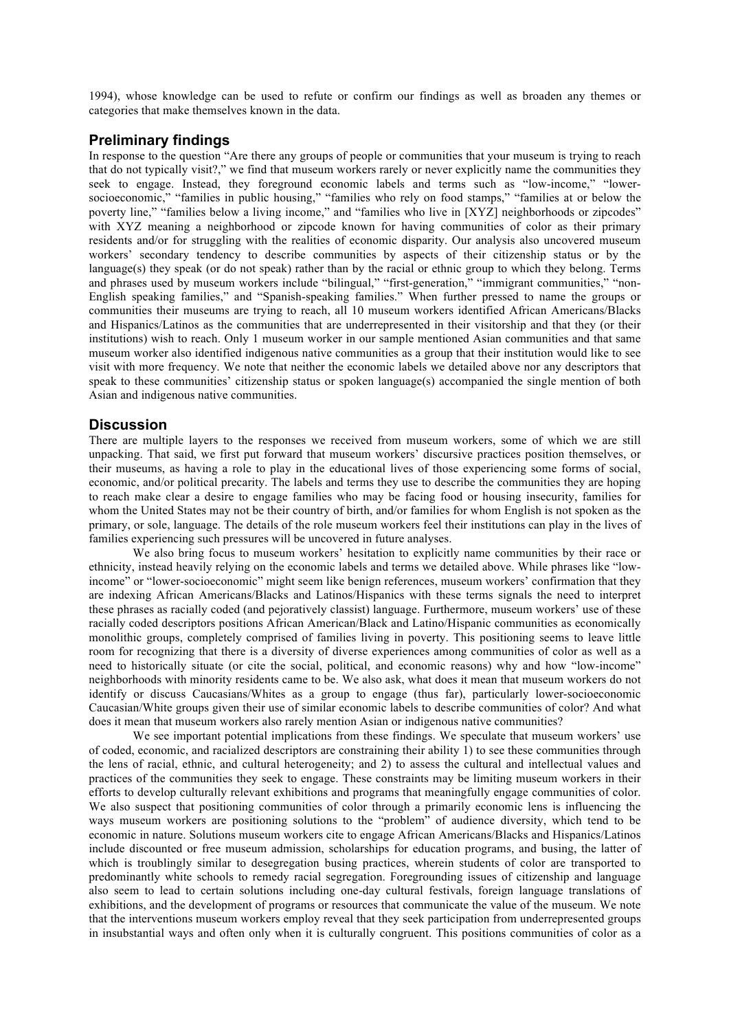1994), whose knowledge can be used to refute or confirm our findings as well as broaden any themes or categories that make themselves known in the data.

## **Preliminary findings**

In response to the question "Are there any groups of people or communities that your museum is trying to reach that do not typically visit?," we find that museum workers rarely or never explicitly name the communities they seek to engage. Instead, they foreground economic labels and terms such as "low-income," "lowersocioeconomic," "families in public housing," "families who rely on food stamps," "families at or below the poverty line," "families below a living income," and "families who live in [XYZ] neighborhoods or zipcodes" with XYZ meaning a neighborhood or zipcode known for having communities of color as their primary residents and/or for struggling with the realities of economic disparity. Our analysis also uncovered museum workers' secondary tendency to describe communities by aspects of their citizenship status or by the language(s) they speak (or do not speak) rather than by the racial or ethnic group to which they belong. Terms and phrases used by museum workers include "bilingual," "first-generation," "immigrant communities," "non-English speaking families," and "Spanish-speaking families." When further pressed to name the groups or communities their museums are trying to reach, all 10 museum workers identified African Americans/Blacks and Hispanics/Latinos as the communities that are underrepresented in their visitorship and that they (or their institutions) wish to reach. Only 1 museum worker in our sample mentioned Asian communities and that same museum worker also identified indigenous native communities as a group that their institution would like to see visit with more frequency. We note that neither the economic labels we detailed above nor any descriptors that speak to these communities' citizenship status or spoken language(s) accompanied the single mention of both Asian and indigenous native communities.

## **Discussion**

There are multiple layers to the responses we received from museum workers, some of which we are still unpacking. That said, we first put forward that museum workers' discursive practices position themselves, or their museums, as having a role to play in the educational lives of those experiencing some forms of social, economic, and/or political precarity. The labels and terms they use to describe the communities they are hoping to reach make clear a desire to engage families who may be facing food or housing insecurity, families for whom the United States may not be their country of birth, and/or families for whom English is not spoken as the primary, or sole, language. The details of the role museum workers feel their institutions can play in the lives of families experiencing such pressures will be uncovered in future analyses.

We also bring focus to museum workers' hesitation to explicitly name communities by their race or ethnicity, instead heavily relying on the economic labels and terms we detailed above. While phrases like "lowincome" or "lower-socioeconomic" might seem like benign references, museum workers' confirmation that they are indexing African Americans/Blacks and Latinos/Hispanics with these terms signals the need to interpret these phrases as racially coded (and pejoratively classist) language. Furthermore, museum workers' use of these racially coded descriptors positions African American/Black and Latino/Hispanic communities as economically monolithic groups, completely comprised of families living in poverty. This positioning seems to leave little room for recognizing that there is a diversity of diverse experiences among communities of color as well as a need to historically situate (or cite the social, political, and economic reasons) why and how "low-income" neighborhoods with minority residents came to be. We also ask, what does it mean that museum workers do not identify or discuss Caucasians/Whites as a group to engage (thus far), particularly lower-socioeconomic Caucasian/White groups given their use of similar economic labels to describe communities of color? And what does it mean that museum workers also rarely mention Asian or indigenous native communities?

We see important potential implications from these findings. We speculate that museum workers' use of coded, economic, and racialized descriptors are constraining their ability 1) to see these communities through the lens of racial, ethnic, and cultural heterogeneity; and 2) to assess the cultural and intellectual values and practices of the communities they seek to engage. These constraints may be limiting museum workers in their efforts to develop culturally relevant exhibitions and programs that meaningfully engage communities of color. We also suspect that positioning communities of color through a primarily economic lens is influencing the ways museum workers are positioning solutions to the "problem" of audience diversity, which tend to be economic in nature. Solutions museum workers cite to engage African Americans/Blacks and Hispanics/Latinos include discounted or free museum admission, scholarships for education programs, and busing, the latter of which is troublingly similar to desegregation busing practices, wherein students of color are transported to predominantly white schools to remedy racial segregation. Foregrounding issues of citizenship and language also seem to lead to certain solutions including one-day cultural festivals, foreign language translations of exhibitions, and the development of programs or resources that communicate the value of the museum. We note that the interventions museum workers employ reveal that they seek participation from underrepresented groups in insubstantial ways and often only when it is culturally congruent. This positions communities of color as a